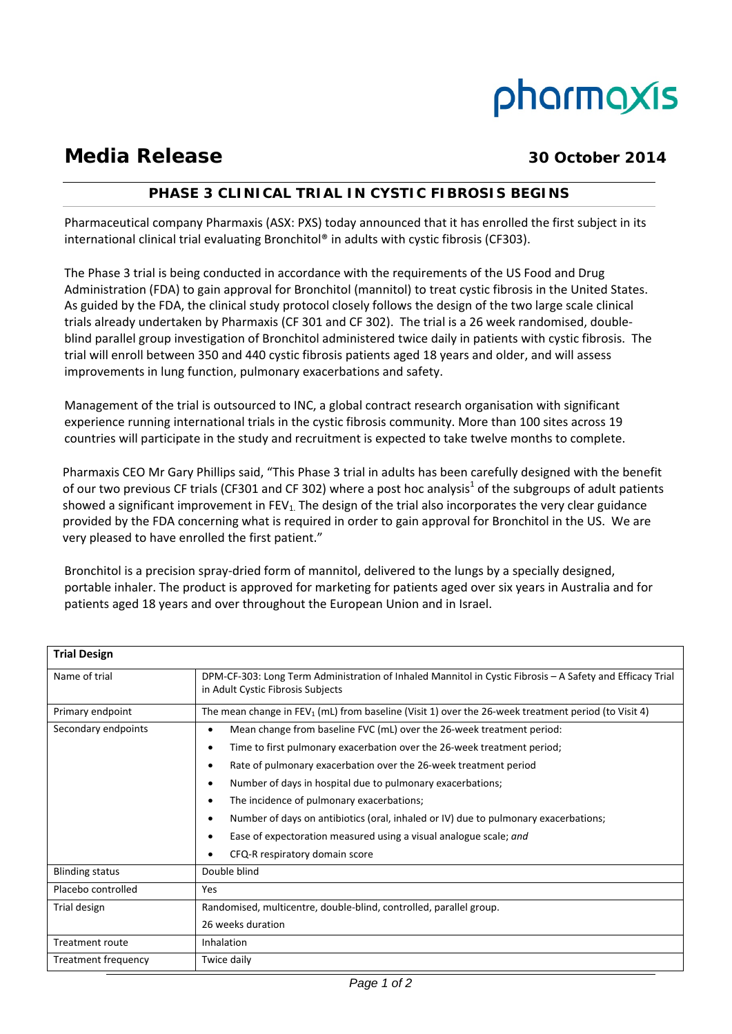# pharmaxis

## **Media Release 30 October 2014**

### **PHASE 3 CLINICAL TRIAL IN CYSTIC FIBROSIS BEGINS**

Pharmaceutical company Pharmaxis (ASX: PXS) today announced that it has enrolled the first subject in its international clinical trial evaluating Bronchitol® in adults with cystic fibrosis (CF303).

The Phase 3 trial is being conducted in accordance with the requirements of the US Food and Drug Administration (FDA) to gain approval for Bronchitol (mannitol) to treat cystic fibrosis in the United States. As guided by the FDA, the clinical study protocol closely follows the design of the two large scale clinical trials already undertaken by Pharmaxis (CF 301 and CF 302). The trial is a 26 week randomised, double‐ blind parallel group investigation of Bronchitol administered twice daily in patients with cystic fibrosis. The trial will enroll between 350 and 440 cystic fibrosis patients aged 18 years and older, and will assess improvements in lung function, pulmonary exacerbations and safety.

Management of the trial is outsourced to INC, a global contract research organisation with significant experience running international trials in the cystic fibrosis community. More than 100 sites across 19 countries will participate in the study and recruitment is expected to take twelve months to complete.

Pharmaxis CEO Mr Gary Phillips said, "This Phase 3 trial in adults has been carefully designed with the benefit of our two previous CF trials (CF301 and CF 302) where a post hoc analysis<sup>1</sup> of the subgroups of adult patients showed a significant improvement in  $FEV<sub>1</sub>$ . The design of the trial also incorporates the very clear guidance provided by the FDA concerning what is required in order to gain approval for Bronchitol in the US. We are very pleased to have enrolled the first patient."

Bronchitol is a precision spray-dried form of mannitol, delivered to the lungs by a specially designed, portable inhaler. The product is approved for marketing for patients aged over six years in Australia and for patients aged 18 years and over throughout the European Union and in Israel.

| <b>Trial Design</b>    |                                                                                                                                                |
|------------------------|------------------------------------------------------------------------------------------------------------------------------------------------|
| Name of trial          | DPM-CF-303: Long Term Administration of Inhaled Mannitol in Cystic Fibrosis - A Safety and Efficacy Trial<br>in Adult Cystic Fibrosis Subjects |
| Primary endpoint       | The mean change in FEV <sub>1</sub> (mL) from baseline (Visit 1) over the 26-week treatment period (to Visit 4)                                |
| Secondary endpoints    | Mean change from baseline FVC (mL) over the 26-week treatment period:<br>$\bullet$                                                             |
|                        | Time to first pulmonary exacerbation over the 26-week treatment period;<br>٠                                                                   |
|                        | Rate of pulmonary exacerbation over the 26-week treatment period<br>٠                                                                          |
|                        | Number of days in hospital due to pulmonary exacerbations;<br>$\bullet$                                                                        |
|                        | The incidence of pulmonary exacerbations;<br>$\bullet$                                                                                         |
|                        | Number of days on antibiotics (oral, inhaled or IV) due to pulmonary exacerbations;<br>$\bullet$                                               |
|                        | Ease of expectoration measured using a visual analogue scale; and<br>٠                                                                         |
|                        | CFQ-R respiratory domain score                                                                                                                 |
| <b>Blinding status</b> | Double blind                                                                                                                                   |
| Placebo controlled     | Yes                                                                                                                                            |
| Trial design           | Randomised, multicentre, double-blind, controlled, parallel group.                                                                             |
|                        | 26 weeks duration                                                                                                                              |
| <b>Treatment route</b> | Inhalation                                                                                                                                     |
| Treatment frequency    | Twice daily                                                                                                                                    |